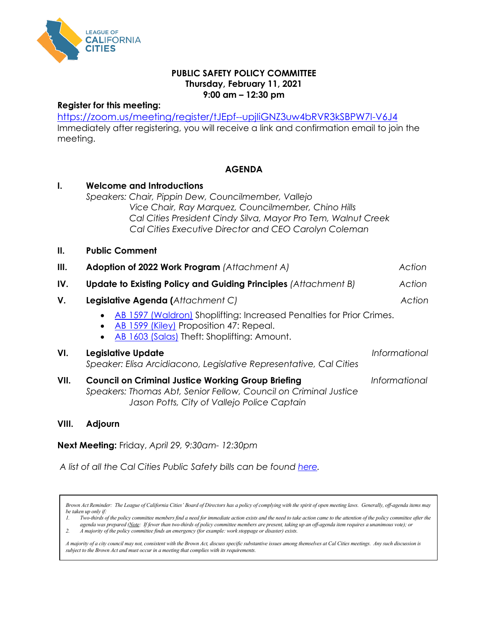

### **PUBLIC SAFETY POLICY COMMITTEE Thursday, February 11, 2021 9:00 am – 12:30 pm**

#### **Register for this meeting:**

<https://zoom.us/meeting/register/tJEpf--upjIiGNZ3uw4bRVR3kSBPW7I-V6J4> Immediately after registering, you will receive a link and confirmation email to join the meeting.

#### **AGENDA**

| $\mathbf{l}$ . | <b>Welcome and Introductions</b><br>Speakers: Chair, Pippin Dew, Councilmember, Vallejo<br>Vice Chair, Ray Marquez, Councilmember, Chino Hills<br>Cal Cities President Cindy Silva, Mayor Pro Tem, Walnut Creek<br>Cal Cities Executive Director and CEO Carolyn Coleman |               |
|----------------|--------------------------------------------------------------------------------------------------------------------------------------------------------------------------------------------------------------------------------------------------------------------------|---------------|
| Ш.             | <b>Public Comment</b>                                                                                                                                                                                                                                                    |               |
| Ш.             | Adoption of 2022 Work Program (Attachment A)                                                                                                                                                                                                                             | Action        |
| IV.            | <b>Update to Existing Policy and Guiding Principles (Attachment B)</b>                                                                                                                                                                                                   | Action        |
| V.             | Legislative Agenda (Attachment C)                                                                                                                                                                                                                                        | Action        |
|                | AB 1597 (Waldron) Shoplifting: Increased Penalties for Prior Crimes.<br>AB 1599 (Kiley) Proposition 47: Repeal.<br>AB 1603 (Salas) Theft: Shoplifting: Amount.                                                                                                           |               |
| VI.            | Legislative Update<br>Speaker: Elisa Arcidiacono, Legislative Representative, Cal Cities                                                                                                                                                                                 | Informational |
| VII.           | <b>Council on Criminal Justice Working Group Briefing</b><br>Speakers: Thomas Abt, Senior Fellow, Council on Criminal Justice<br>Jason Potts, City of Vallejo Police Captain                                                                                             | Informational |

#### **VIII. Adjourn**

**Next Meeting:** Friday, *April 29, 9:30am- 12:30pm* 

*A list of all the Cal Cities Public Safety bills can be found [here.](https://ctweb.capitoltrack.com/public/publish.aspx?session=21&id=32aa5560-289c-4d4c-be5e-029223e60749)* 

*Brown Act Reminder: The League of California Cities' Board of Directors has a policy of complying with the spirit of open meeting laws. Generally, off-agenda items may be taken up only if:*

*1. Two-thirds of the policy committee members find a need for immediate action exists and the need to take action came to the attention of the policy committee after the agenda was prepared (Note: If fewer than two-thirds of policy committee members are present, taking up an off-agenda item requires a unanimous vote); or*

*2. A majority of the policy committee finds an emergency (for example: work stoppage or disaster) exists.* 

*A majority of a city council may not, consistent with the Brown Act, discuss specific substantive issues among themselves at Cal Cities meetings. Any such discussion is subject to the Brown Act and must occur in a meeting that complies with its requirements.*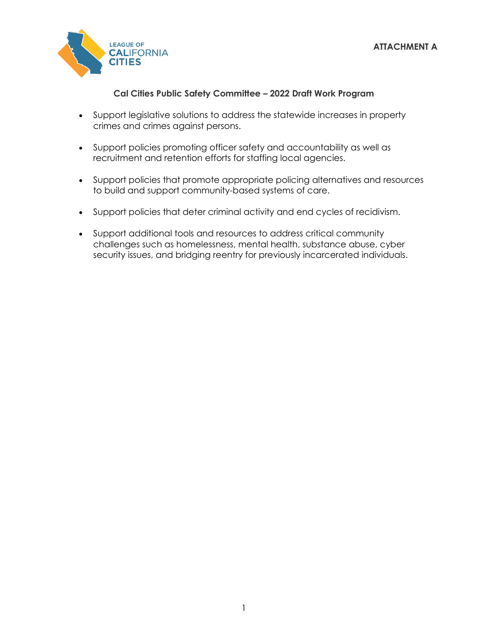

# **Cal Cities Public Safety Committee – 2022 Draft Work Program**

- Support legislative solutions to address the statewide increases in property crimes and crimes against persons.
- Support policies promoting officer safety and accountability as well as recruitment and retention efforts for staffing local agencies.
- Support policies that promote appropriate policing alternatives and resources to build and support community-based systems of care.
- Support policies that deter criminal activity and end cycles of recidivism.
- Support additional tools and resources to address critical community challenges such as homelessness, mental health, substance abuse, cyber security issues, and bridging reentry for previously incarcerated individuals.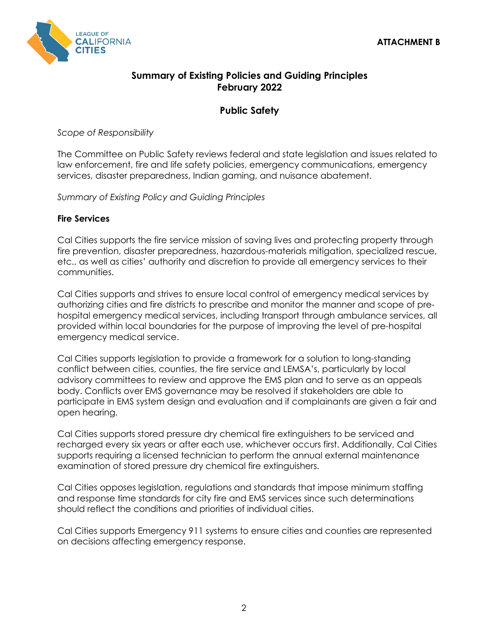

# **Summary of Existing Policies and Guiding Principles February 2022**

# **Public Safety**

*Scope of Responsibility*

The Committee on Public Safety reviews federal and state legislation and issues related to law enforcement, fire and life safety policies, emergency communications, emergency services, disaster preparedness, Indian gaming, and nuisance abatement.

*Summary of Existing Policy and Guiding Principles*

## **Fire Services**

Cal Cities supports the fire service mission of saving lives and protecting property through fire prevention, disaster preparedness, hazardous-materials mitigation, specialized rescue, etc., as well as cities' authority and discretion to provide all emergency services to their communities.

Cal Cities supports and strives to ensure local control of emergency medical services by authorizing cities and fire districts to prescribe and monitor the manner and scope of prehospital emergency medical services, including transport through ambulance services, all provided within local boundaries for the purpose of improving the level of pre-hospital emergency medical service.

Cal Cities supports legislation to provide a framework for a solution to long-standing conflict between cities, counties, the fire service and LEMSA's, particularly by local advisory committees to review and approve the EMS plan and to serve as an appeals body. Conflicts over EMS governance may be resolved if stakeholders are able to participate in EMS system design and evaluation and if complainants are given a fair and open hearing.

Cal Cities supports stored pressure dry chemical fire extinguishers to be serviced and recharged every six years or after each use, whichever occurs first. Additionally, Cal Cities supports requiring a licensed technician to perform the annual external maintenance examination of stored pressure dry chemical fire extinguishers.

Cal Cities opposes legislation, regulations and standards that impose minimum staffing and response time standards for city fire and EMS services since such determinations should reflect the conditions and priorities of individual cities.

Cal Cities supports Emergency 911 systems to ensure cities and counties are represented on decisions affecting emergency response.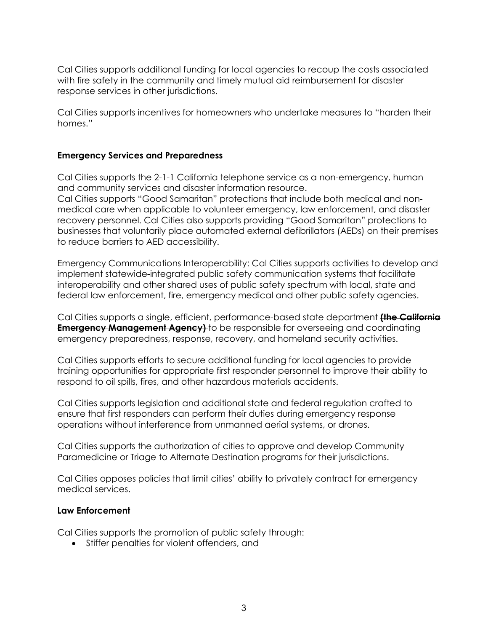Cal Cities supports additional funding for local agencies to recoup the costs associated with fire safety in the community and timely mutual aid reimbursement for disaster response services in other jurisdictions.

Cal Cities supports incentives for homeowners who undertake measures to "harden their homes."

### **Emergency Services and Preparedness**

Cal Cities supports the 2-1-1 California telephone service as a non-emergency, human and community services and disaster information resource. Cal Cities supports "Good Samaritan" protections that include both medical and nonmedical care when applicable to volunteer emergency, law enforcement, and disaster

recovery personnel. Cal Cities also supports providing "Good Samaritan" protections to businesses that voluntarily place automated external defibrillators (AEDs) on their premises to reduce barriers to AED accessibility.

Emergency Communications Interoperability: Cal Cities supports activities to develop and implement statewide-integrated public safety communication systems that facilitate interoperability and other shared uses of public safety spectrum with local, state and federal law enforcement, fire, emergency medical and other public safety agencies.

Cal Cities supports a single, efficient, performance-based state department **(the California Emergency Management Agency)** to be responsible for overseeing and coordinating emergency preparedness, response, recovery, and homeland security activities.

Cal Cities supports efforts to secure additional funding for local agencies to provide training opportunities for appropriate first responder personnel to improve their ability to respond to oil spills, fires, and other hazardous materials accidents.

Cal Cities supports legislation and additional state and federal regulation crafted to ensure that first responders can perform their duties during emergency response operations without interference from unmanned aerial systems, or drones.

Cal Cities supports the authorization of cities to approve and develop Community Paramedicine or Triage to Alternate Destination programs for their jurisdictions.

Cal Cities opposes policies that limit cities' ability to privately contract for emergency medical services.

#### **Law Enforcement**

Cal Cities supports the promotion of public safety through:

• Stiffer penalties for violent offenders, and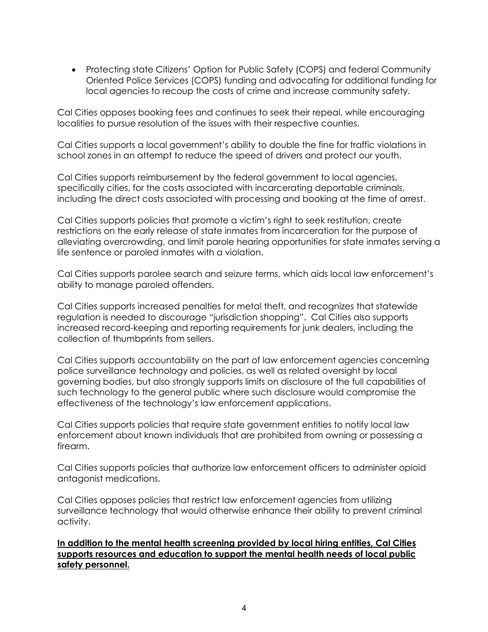• Protecting state Citizens' Option for Public Safety (COPS) and federal Community Oriented Police Services (COPS) funding and advocating for additional funding for local agencies to recoup the costs of crime and increase community safety.

Cal Cities opposes booking fees and continues to seek their repeal, while encouraging localities to pursue resolution of the issues with their respective counties.

Cal Cities supports a local government's ability to double the fine for traffic violations in school zones in an attempt to reduce the speed of drivers and protect our youth.

Cal Cities supports reimbursement by the federal government to local agencies, specifically cities, for the costs associated with incarcerating deportable criminals, including the direct costs associated with processing and booking at the time of arrest.

Cal Cities supports policies that promote a victim's right to seek restitution, create restrictions on the early release of state inmates from incarceration for the purpose of alleviating overcrowding, and limit parole hearing opportunities for state inmates serving a life sentence or paroled inmates with a violation.

Cal Cities supports parolee search and seizure terms, which aids local law enforcement's ability to manage paroled offenders.

Cal Cities supports increased penalties for metal theft, and recognizes that statewide regulation is needed to discourage "jurisdiction shopping". Cal Cities also supports increased record-keeping and reporting requirements for junk dealers, including the collection of thumbprints from sellers.

Cal Cities supports accountability on the part of law enforcement agencies concerning police surveillance technology and policies, as well as related oversight by local governing bodies, but also strongly supports limits on disclosure of the full capabilities of such technology to the general public where such disclosure would compromise the effectiveness of the technology's law enforcement applications.

Cal Cities supports policies that require state government entities to notify local law enforcement about known individuals that are prohibited from owning or possessing a firearm.

Cal Cities supports policies that authorize law enforcement officers to administer opioid antagonist medications.

Cal Cities opposes policies that restrict law enforcement agencies from utilizing surveillance technology that would otherwise enhance their ability to prevent criminal activity.

**In addition to the mental health screening provided by local hiring entities, Cal Cities supports resources and education to support the mental health needs of local public safety personnel.**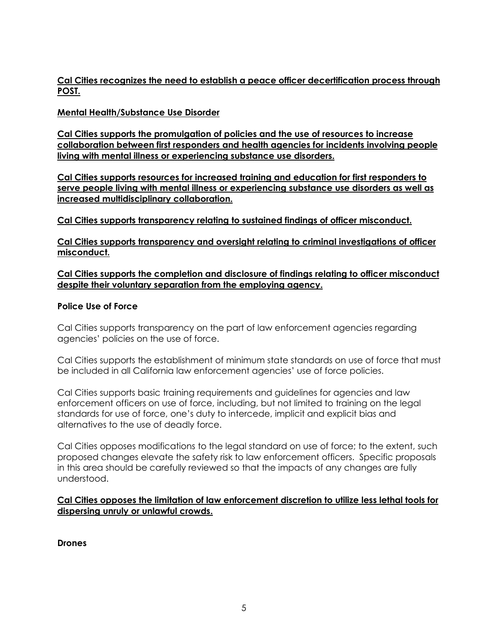## **Cal Cities recognizes the need to establish a peace officer decertification process through POST.**

## **Mental Health/Substance Use Disorder**

**Cal Cities supports the promulgation of policies and the use of resources to increase collaboration between first responders and health agencies for incidents involving people living with mental illness or experiencing substance use disorders.**

**Cal Cities supports resources for increased training and education for first responders to serve people living with mental illness or experiencing substance use disorders as well as increased multidisciplinary collaboration.**

**Cal Cities supports transparency relating to sustained findings of officer misconduct.**

**Cal Cities supports transparency and oversight relating to criminal investigations of officer misconduct.**

## **Cal Cities supports the completion and disclosure of findings relating to officer misconduct despite their voluntary separation from the employing agency.**

## **Police Use of Force**

Cal Cities supports transparency on the part of law enforcement agencies regarding agencies' policies on the use of force.

Cal Cities supports the establishment of minimum state standards on use of force that must be included in all California law enforcement agencies' use of force policies.

Cal Cities supports basic training requirements and guidelines for agencies and law enforcement officers on use of force, including, but not limited to training on the legal standards for use of force, one's duty to intercede, implicit and explicit bias and alternatives to the use of deadly force.

Cal Cities opposes modifications to the legal standard on use of force; to the extent, such proposed changes elevate the safety risk to law enforcement officers. Specific proposals in this area should be carefully reviewed so that the impacts of any changes are fully understood.

## **Cal Cities opposes the limitation of law enforcement discretion to utilize less lethal tools for dispersing unruly or unlawful crowds.**

**Drones**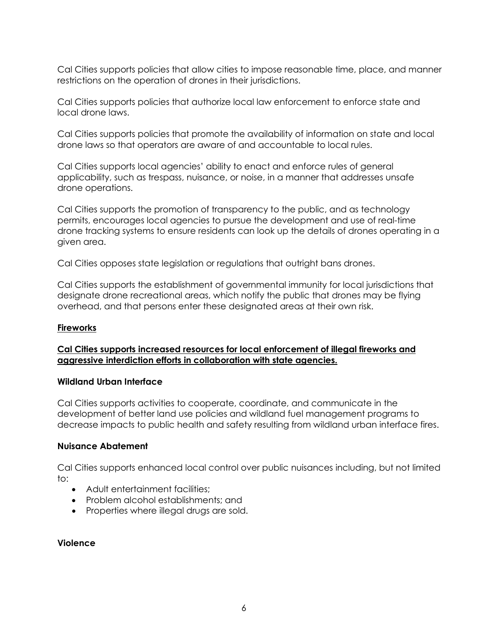Cal Cities supports policies that allow cities to impose reasonable time, place, and manner restrictions on the operation of drones in their jurisdictions.

Cal Cities supports policies that authorize local law enforcement to enforce state and local drone laws.

Cal Cities supports policies that promote the availability of information on state and local drone laws so that operators are aware of and accountable to local rules.

Cal Cities supports local agencies' ability to enact and enforce rules of general applicability, such as trespass, nuisance, or noise, in a manner that addresses unsafe drone operations.

Cal Cities supports the promotion of transparency to the public, and as technology permits, encourages local agencies to pursue the development and use of real-time drone tracking systems to ensure residents can look up the details of drones operating in a given area.

Cal Cities opposes state legislation or regulations that outright bans drones.

Cal Cities supports the establishment of governmental immunity for local jurisdictions that designate drone recreational areas, which notify the public that drones may be flying overhead, and that persons enter these designated areas at their own risk.

#### **Fireworks**

## **Cal Cities supports increased resources for local enforcement of illegal fireworks and aggressive interdiction efforts in collaboration with state agencies.**

#### **Wildland Urban Interface**

Cal Cities supports activities to cooperate, coordinate, and communicate in the development of better land use policies and wildland fuel management programs to decrease impacts to public health and safety resulting from wildland urban interface fires.

## **Nuisance Abatement**

Cal Cities supports enhanced local control over public nuisances including, but not limited to:

- Adult entertainment facilities:
- Problem alcohol establishments; and
- Properties where illegal drugs are sold.

#### **Violence**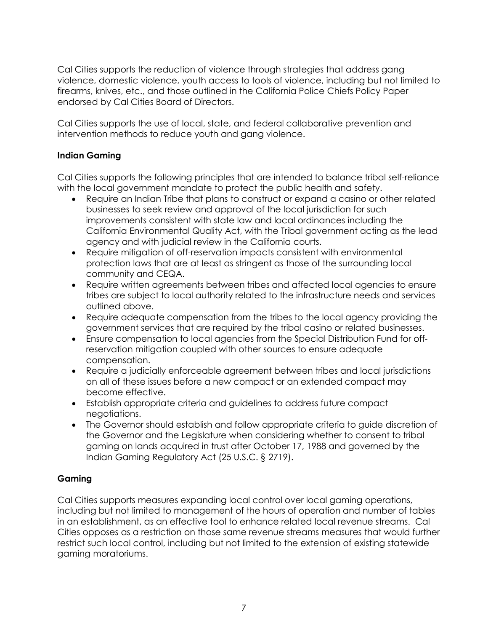Cal Cities supports the reduction of violence through strategies that address gang violence, domestic violence, youth access to tools of violence, including but not limited to firearms, knives, etc., and those outlined in the California Police Chiefs Policy Paper endorsed by Cal Cities Board of Directors.

Cal Cities supports the use of local, state, and federal collaborative prevention and intervention methods to reduce youth and gang violence.

## **Indian Gaming**

Cal Cities supports the following principles that are intended to balance tribal self-reliance with the local government mandate to protect the public health and safety.

- Require an Indian Tribe that plans to construct or expand a casino or other related businesses to seek review and approval of the local jurisdiction for such improvements consistent with state law and local ordinances including the California Environmental Quality Act, with the Tribal government acting as the lead agency and with judicial review in the California courts.
- Require mitigation of off-reservation impacts consistent with environmental protection laws that are at least as stringent as those of the surrounding local community and CEQA.
- Require written agreements between tribes and affected local agencies to ensure tribes are subject to local authority related to the infrastructure needs and services outlined above.
- Require adequate compensation from the tribes to the local agency providing the government services that are required by the tribal casino or related businesses.
- Ensure compensation to local agencies from the Special Distribution Fund for offreservation mitigation coupled with other sources to ensure adequate compensation.
- Require a judicially enforceable agreement between tribes and local jurisdictions on all of these issues before a new compact or an extended compact may become effective.
- Establish appropriate criteria and guidelines to address future compact negotiations.
- The Governor should establish and follow appropriate criteria to guide discretion of the Governor and the Legislature when considering whether to consent to tribal gaming on lands acquired in trust after October 17, 1988 and governed by the Indian Gaming Regulatory Act (25 U.S.C. § 2719).

## **Gaming**

Cal Cities supports measures expanding local control over local gaming operations, including but not limited to management of the hours of operation and number of tables in an establishment, as an effective tool to enhance related local revenue streams. Cal Cities opposes as a restriction on those same revenue streams measures that would further restrict such local control, including but not limited to the extension of existing statewide gaming moratoriums.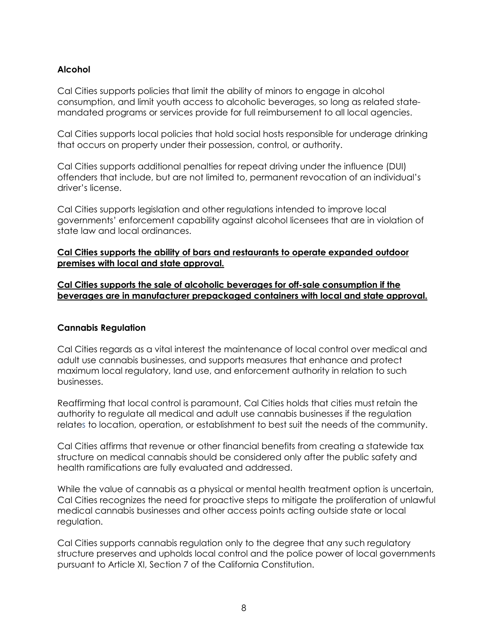## **Alcohol**

Cal Cities supports policies that limit the ability of minors to engage in alcohol consumption, and limit youth access to alcoholic beverages, so long as related statemandated programs or services provide for full reimbursement to all local agencies.

Cal Cities supports local policies that hold social hosts responsible for underage drinking that occurs on property under their possession, control, or authority.

Cal Cities supports additional penalties for repeat driving under the influence (DUI) offenders that include, but are not limited to, permanent revocation of an individual's driver's license.

Cal Cities supports legislation and other regulations intended to improve local governments' enforcement capability against alcohol licensees that are in violation of state law and local ordinances.

## **Cal Cities supports the ability of bars and restaurants to operate expanded outdoor premises with local and state approval.**

**Cal Cities supports the sale of alcoholic beverages for off-sale consumption if the beverages are in manufacturer prepackaged containers with local and state approval.**

## **Cannabis Regulation**

Cal Cities regards as a vital interest the maintenance of local control over medical and adult use cannabis businesses, and supports measures that enhance and protect maximum local regulatory, land use, and enforcement authority in relation to such businesses.

Reaffirming that local control is paramount, Cal Cities holds that cities must retain the authority to regulate all medical and adult use cannabis businesses if the regulation relates to location, operation, or establishment to best suit the needs of the community.

Cal Cities affirms that revenue or other financial benefits from creating a statewide tax structure on medical cannabis should be considered only after the public safety and health ramifications are fully evaluated and addressed.

While the value of cannabis as a physical or mental health treatment option is uncertain, Cal Cities recognizes the need for proactive steps to mitigate the proliferation of unlawful medical cannabis businesses and other access points acting outside state or local regulation.

Cal Cities supports cannabis regulation only to the degree that any such regulatory structure preserves and upholds local control and the police power of local governments pursuant to Article XI, Section 7 of the California Constitution.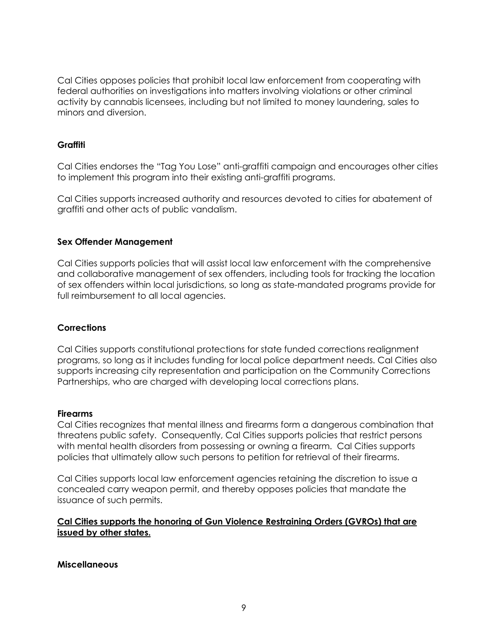Cal Cities opposes policies that prohibit local law enforcement from cooperating with federal authorities on investigations into matters involving violations or other criminal activity by cannabis licensees, including but not limited to money laundering, sales to minors and diversion.

## **Graffiti**

Cal Cities endorses the "Tag You Lose" anti-graffiti campaign and encourages other cities to implement this program into their existing anti-graffiti programs.

Cal Cities supports increased authority and resources devoted to cities for abatement of graffiti and other acts of public vandalism.

#### **Sex Offender Management**

Cal Cities supports policies that will assist local law enforcement with the comprehensive and collaborative management of sex offenders, including tools for tracking the location of sex offenders within local jurisdictions, so long as state-mandated programs provide for full reimbursement to all local agencies.

#### **Corrections**

Cal Cities supports constitutional protections for state funded corrections realignment programs, so long as it includes funding for local police department needs. Cal Cities also supports increasing city representation and participation on the Community Corrections Partnerships, who are charged with developing local corrections plans.

#### **Firearms**

Cal Cities recognizes that mental illness and firearms form a dangerous combination that threatens public safety. Consequently, Cal Cities supports policies that restrict persons with mental health disorders from possessing or owning a firearm. Cal Cities supports policies that ultimately allow such persons to petition for retrieval of their firearms.

Cal Cities supports local law enforcement agencies retaining the discretion to issue a concealed carry weapon permit, and thereby opposes policies that mandate the issuance of such permits.

## **Cal Cities supports the honoring of Gun Violence Restraining Orders (GVROs) that are issued by other states.**

**Miscellaneous**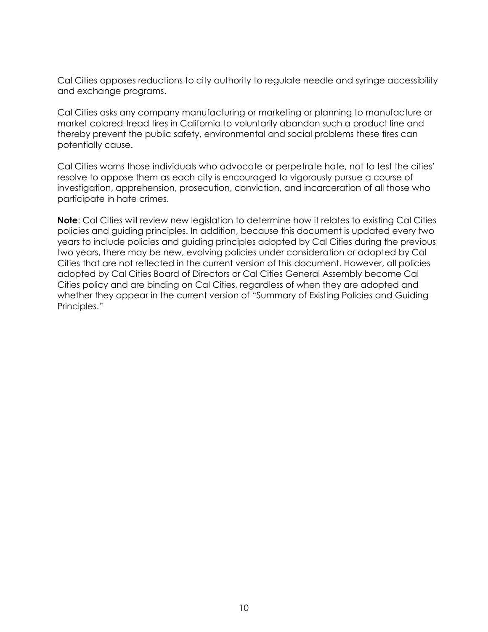Cal Cities opposes reductions to city authority to regulate needle and syringe accessibility and exchange programs.

Cal Cities asks any company manufacturing or marketing or planning to manufacture or market colored-tread tires in California to voluntarily abandon such a product line and thereby prevent the public safety, environmental and social problems these tires can potentially cause.

Cal Cities warns those individuals who advocate or perpetrate hate, not to test the cities' resolve to oppose them as each city is encouraged to vigorously pursue a course of investigation, apprehension, prosecution, conviction, and incarceration of all those who participate in hate crimes.

**Note**: Cal Cities will review new legislation to determine how it relates to existing Cal Cities policies and guiding principles. In addition, because this document is updated every two years to include policies and guiding principles adopted by Cal Cities during the previous two years, there may be new, evolving policies under consideration or adopted by Cal Cities that are not reflected in the current version of this document. However, all policies adopted by Cal Cities Board of Directors or Cal Cities General Assembly become Cal Cities policy and are binding on Cal Cities, regardless of when they are adopted and whether they appear in the current version of "Summary of Existing Policies and Guiding Principles."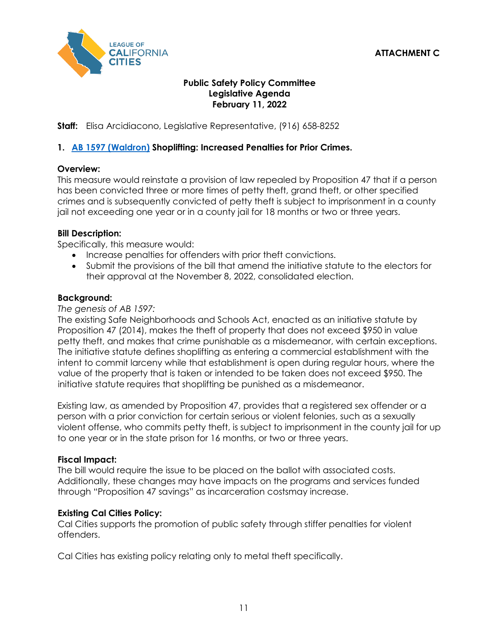## **ATTACHMENT C**



## **Public Safety Policy Committee Legislative Agenda February 11, 2022**

## **Staff:** Elisa Arcidiacono, Legislative Representative, (916) 658-8252

## **1. [AB 1597 \(Waldron\)](https://ctweb.capitoltrack.com/public/search.aspx?id=ad485199-37cd-42cd-8217-d19b4d257119&session=21&s=ab%201597&t=bill) Shoplifting: Increased Penalties for Prior Crimes.**

#### **Overview:**

This measure would reinstate a provision of law repealed by Proposition 47 that if a person has been convicted three or more times of petty theft, grand theft, or other specified crimes and is subsequently convicted of petty theft is subject to imprisonment in a county jail not exceeding one year or in a county jail for 18 months or two or three years.

#### **Bill Description:**

Specifically, this measure would:

- Increase penalties for offenders with prior theft convictions.
- Submit the provisions of the bill that amend the initiative statute to the electors for their approval at the November 8, 2022, consolidated election.

#### **Background:**

#### *The genesis of AB 1597:*

The existing Safe Neighborhoods and Schools Act, enacted as an initiative statute by Proposition 47 (2014), makes the theft of property that does not exceed \$950 in value petty theft, and makes that crime punishable as a misdemeanor, with certain exceptions. The initiative statute defines shoplifting as entering a commercial establishment with the intent to commit larceny while that establishment is open during regular hours, where the value of the property that is taken or intended to be taken does not exceed \$950. The initiative statute requires that shoplifting be punished as a misdemeanor.

Existing law, as amended by Proposition 47, provides that a registered sex offender or a person with a prior conviction for certain serious or violent felonies, such as a sexually violent offense, who commits petty theft, is subject to imprisonment in the county jail for up to one year or in the state prison for 16 months, or two or three years.

#### **Fiscal Impact:**

The bill would require the issue to be placed on the ballot with associated costs. Additionally, these changes may have impacts on the programs and services funded through "Proposition 47 savings" as incarceration costsmay increase.

#### **Existing Cal Cities Policy:**

Cal Cities supports the promotion of public safety through stiffer penalties for violent offenders.

Cal Cities has existing policy relating only to metal theft specifically.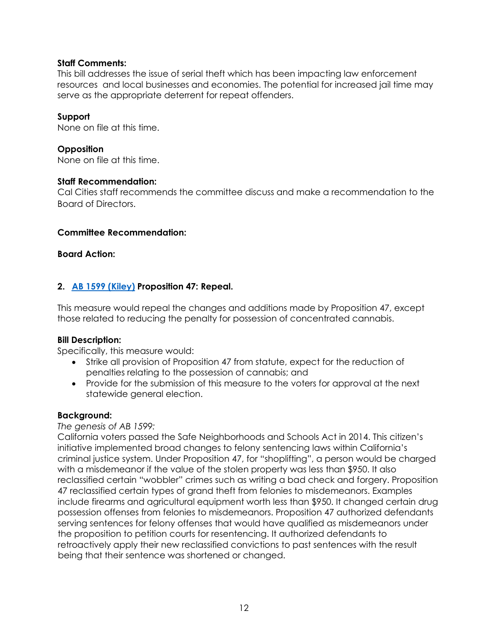## **Staff Comments:**

This bill addresses the issue of serial theft which has been impacting law enforcement resources and local businesses and economies. The potential for increased jail time may serve as the appropriate deterrent for repeat offenders.

## **Support**

None on file at this time.

## **Opposition**

None on file at this time.

#### **Staff Recommendation:**

Cal Cities staff recommends the committee discuss and make a recommendation to the Board of Directors.

#### **Committee Recommendation:**

#### **Board Action:**

## **2. [AB 1599 \(Kiley\)](https://ctweb.capitoltrack.com/public/search.aspx?id=ad485199-37cd-42cd-8217-d19b4d257119&session=21&s=ab%201599&t=bill) Proposition 47: Repeal.**

This measure would repeal the changes and additions made by Proposition 47, except those related to reducing the penalty for possession of concentrated cannabis.

#### **Bill Description:**

Specifically, this measure would:

- Strike all provision of Proposition 47 from statute, expect for the reduction of penalties relating to the possession of cannabis; and
- Provide for the submission of this measure to the voters for approval at the next statewide general election.

#### **Background:**

#### *The genesis of AB 1599:*

California voters passed the Safe Neighborhoods and Schools Act in 2014. This citizen's initiative implemented broad changes to felony sentencing laws within California's criminal justice system. Under Proposition 47, for "shoplifting", a person would be charged with a misdemeanor if the value of the stolen property was less than \$950. It also reclassified certain "wobbler" crimes such as writing a bad check and forgery. Proposition 47 reclassified certain types of grand theft from felonies to misdemeanors. Examples include firearms and agricultural equipment worth less than \$950. It changed certain drug possession offenses from felonies to misdemeanors. Proposition 47 authorized defendants serving sentences for felony offenses that would have qualified as misdemeanors under the proposition to petition courts for resentencing. It authorized defendants to retroactively apply their new reclassified convictions to past sentences with the result being that their sentence was shortened or changed.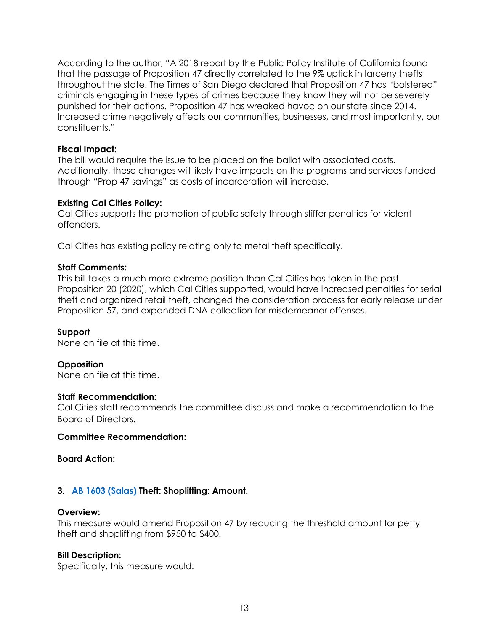According to the author, "A 2018 report by the Public Policy Institute of California found that the passage of Proposition 47 directly correlated to the 9% uptick in larceny thefts throughout the state. The Times of San Diego declared that Proposition 47 has "bolstered" criminals engaging in these types of crimes because they know they will not be severely punished for their actions. Proposition 47 has wreaked havoc on our state since 2014. Increased crime negatively affects our communities, businesses, and most importantly, our constituents."

### **Fiscal Impact:**

The bill would require the issue to be placed on the ballot with associated costs. Additionally, these changes will likely have impacts on the programs and services funded through "Prop 47 savings" as costs of incarceration will increase.

## **Existing Cal Cities Policy:**

Cal Cities supports the promotion of public safety through stiffer penalties for violent offenders.

Cal Cities has existing policy relating only to metal theft specifically.

## **Staff Comments:**

This bill takes a much more extreme position than Cal Cities has taken in the past. Proposition 20 (2020), which Cal Cities supported, would have increased penalties for serial theft and organized retail theft, changed the consideration process for early release under Proposition 57, and expanded DNA collection for misdemeanor offenses.

#### **Support**

None on file at this time.

#### **Opposition**

None on file at this time.

#### **Staff Recommendation:**

Cal Cities staff recommends the committee discuss and make a recommendation to the Board of Directors.

#### **Committee Recommendation:**

## **Board Action:**

#### **3. [AB 1603 \(Salas\)](https://ctweb.capitoltrack.com/public/search.aspx?id=ad485199-37cd-42cd-8217-d19b4d257119&session=21&s=ab%201603&t=bill) Theft: Shoplifting: Amount.**

#### **Overview:**

This measure would amend Proposition 47 by reducing the threshold amount for petty theft and shoplifting from \$950 to \$400.

#### **Bill Description:**

Specifically, this measure would: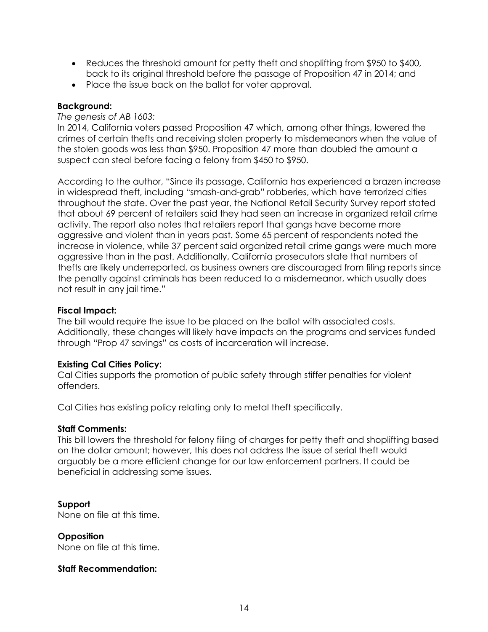- Reduces the threshold amount for petty theft and shoplifting from \$950 to \$400, back to its original threshold before the passage of Proposition 47 in 2014; and
- Place the issue back on the ballot for voter approval.

### **Background:**

## *The genesis of AB 1603:*

In 2014, California voters passed Proposition 47 which, among other things, lowered the crimes of certain thefts and receiving stolen property to misdemeanors when the value of the stolen goods was less than \$950. Proposition 47 more than doubled the amount a suspect can steal before facing a felony from \$450 to \$950.

According to the author, "Since its passage, California has experienced a brazen increase in widespread theft, including "smash-and-grab" robberies, which have terrorized cities throughout the state. Over the past year, the National Retail Security Survey report stated that about 69 percent of retailers said they had seen an increase in organized retail crime activity. The report also notes that retailers report that gangs have become more aggressive and violent than in years past. Some 65 percent of respondents noted the increase in violence, while 37 percent said organized retail crime gangs were much more aggressive than in the past. Additionally, California prosecutors state that numbers of thefts are likely underreported, as business owners are discouraged from filing reports since the penalty against criminals has been reduced to a misdemeanor, which usually does not result in any jail time."

#### **Fiscal Impact:**

The bill would require the issue to be placed on the ballot with associated costs. Additionally, these changes will likely have impacts on the programs and services funded through "Prop 47 savings" as costs of incarceration will increase.

#### **Existing Cal Cities Policy:**

Cal Cities supports the promotion of public safety through stiffer penalties for violent offenders.

Cal Cities has existing policy relating only to metal theft specifically.

#### **Staff Comments:**

This bill lowers the threshold for felony filing of charges for petty theft and shoplifting based on the dollar amount; however, this does not address the issue of serial theft would arguably be a more efficient change for our law enforcement partners. It could be beneficial in addressing some issues.

#### **Support**

None on file at this time.

## **Opposition**

None on file at this time.

#### **Staff Recommendation:**